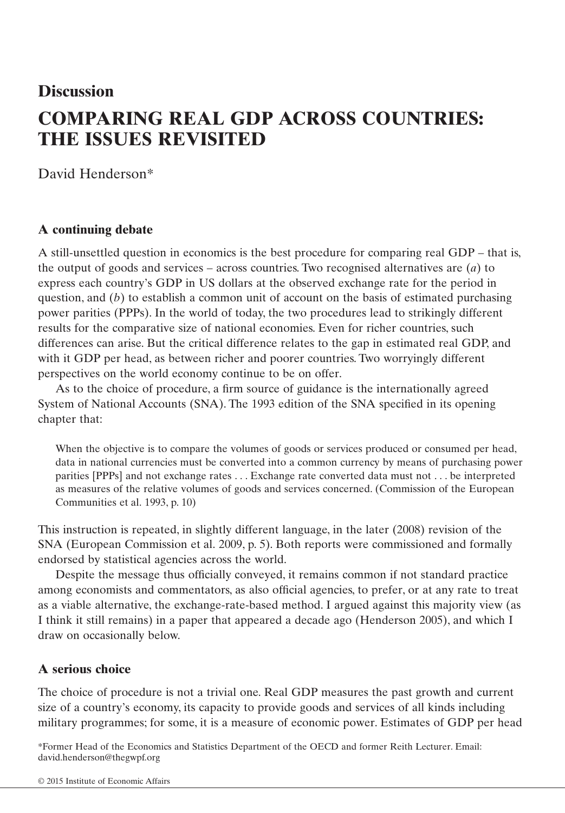# **Discussion**

# **COMPARING REAL GDP ACROSS COUNTRIES: THE ISSUES REVISITED**

David Henderson\*

# **A continuing debate**

A still-unsettled question in economics is the best procedure for comparing real GDP – that is, the output of goods and services – across countries. Two recognised alternatives are (*a*) to express each country's GDP in US dollars at the observed exchange rate for the period in question, and (*b*) to establish a common unit of account on the basis of estimated purchasing power parities (PPPs). In the world of today, the two procedures lead to strikingly different results for the comparative size of national economies. Even for richer countries, such differences can arise. But the critical difference relates to the gap in estimated real GDP, and with it GDP per head, as between richer and poorer countries. Two worryingly different perspectives on the world economy continue to be on offer.

As to the choice of procedure, a firm source of guidance is the internationally agreed System of National Accounts (SNA). The 1993 edition of the SNA specified in its opening chapter that:

When the objective is to compare the volumes of goods or services produced or consumed per head, data in national currencies must be converted into a common currency by means of purchasing power parities [PPPs] and not exchange rates . . . Exchange rate converted data must not . . . be interpreted as measures of the relative volumes of goods and services concerned. (Commission of the European Communities et al. 1993, p. 10)

This instruction is repeated, in slightly different language, in the later (2008) revision of the SNA (European Commission et al. 2009, p. 5). Both reports were commissioned and formally endorsed by statistical agencies across the world.

Despite the message thus officially conveyed, it remains common if not standard practice among economists and commentators, as also official agencies, to prefer, or at any rate to treat as a viable alternative, the exchange-rate-based method. I argued against this majority view (as I think it still remains) in a paper that appeared a decade ago (Henderson 2005), and which I draw on occasionally below.

# **A serious choice**

The choice of procedure is not a trivial one. Real GDP measures the past growth and current size of a country's economy, its capacity to provide goods and services of all kinds including military programmes; for some, it is a measure of economic power. Estimates of GDP per head

\*Former Head of the Economics and Statistics Department of the OECD and former Reith Lecturer. Email: david.henderson@thegwpf.org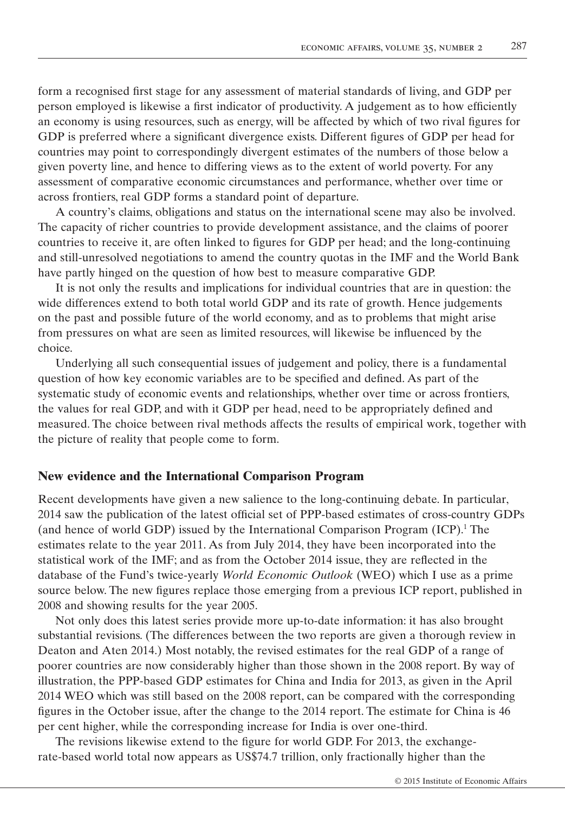form a recognised first stage for any assessment of material standards of living, and GDP per person employed is likewise a first indicator of productivity. A judgement as to how efficiently an economy is using resources, such as energy, will be affected by which of two rival figures for GDP is preferred where a significant divergence exists. Different figures of GDP per head for countries may point to correspondingly divergent estimates of the numbers of those below a given poverty line, and hence to differing views as to the extent of world poverty. For any assessment of comparative economic circumstances and performance, whether over time or across frontiers, real GDP forms a standard point of departure.

A country's claims, obligations and status on the international scene may also be involved. The capacity of richer countries to provide development assistance, and the claims of poorer countries to receive it, are often linked to figures for GDP per head; and the long-continuing and still-unresolved negotiations to amend the country quotas in the IMF and the World Bank have partly hinged on the question of how best to measure comparative GDP.

It is not only the results and implications for individual countries that are in question: the wide differences extend to both total world GDP and its rate of growth. Hence judgements on the past and possible future of the world economy, and as to problems that might arise from pressures on what are seen as limited resources, will likewise be influenced by the choice.

Underlying all such consequential issues of judgement and policy, there is a fundamental question of how key economic variables are to be specified and defined. As part of the systematic study of economic events and relationships, whether over time or across frontiers, the values for real GDP, and with it GDP per head, need to be appropriately defined and measured. The choice between rival methods affects the results of empirical work, together with the picture of reality that people come to form.

#### **New evidence and the International Comparison Program**

Recent developments have given a new salience to the long-continuing debate. In particular, 2014 saw the publication of the latest official set of PPP-based estimates of cross-country GDPs (and hence of world GDP) issued by the International Comparison Program (ICP).1 The estimates relate to the year 2011. As from July 2014, they have been incorporated into the statistical work of the IMF; and as from the October 2014 issue, they are reflected in the database of the Fund's twice-yearly *World Economic Outlook* (WEO) which I use as a prime source below. The new figures replace those emerging from a previous ICP report, published in 2008 and showing results for the year 2005.

Not only does this latest series provide more up-to-date information: it has also brought substantial revisions. (The differences between the two reports are given a thorough review in Deaton and Aten 2014.) Most notably, the revised estimates for the real GDP of a range of poorer countries are now considerably higher than those shown in the 2008 report. By way of illustration, the PPP-based GDP estimates for China and India for 2013, as given in the April 2014 WEO which was still based on the 2008 report, can be compared with the corresponding figures in the October issue, after the change to the 2014 report. The estimate for China is 46 per cent higher, while the corresponding increase for India is over one-third.

The revisions likewise extend to the figure for world GDP. For 2013, the exchangerate-based world total now appears as US\$74.7 trillion, only fractionally higher than the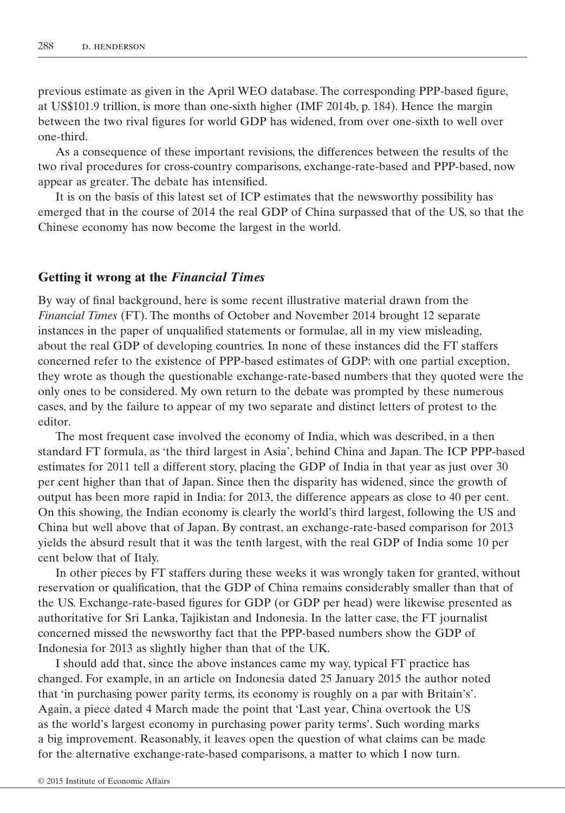previous estimate as given in the April WEO database. The corresponding PPP-based figure, at US\$101.9 trillion, is more than one-sixth higher (IMF 2014b, p. 184). Hence the margin between the two rival figures for world GDP has widened, from over one-sixth to well over one-third.

As a consequence of these important revisions, the differences between the results of the two rival procedures for cross-country comparisons, exchange-rate-based and PPP-based, now appear as greater. The debate has intensified.

It is on the basis of this latest set of ICP estimates that the newsworthy possibility has emerged that in the course of 2014 the real GDP of China surpassed that of the US, so that the Chinese economy has now become the largest in the world.

#### **Getting it wrong at the** *Financial Times*

By way of final background, here is some recent illustrative material drawn from the *Financial Times* (FT). The months of October and November 2014 brought 12 separate instances in the paper of unqualified statements or formulae, all in my view misleading, about the real GDP of developing countries. In none of these instances did the FT staffers concerned refer to the existence of PPP-based estimates of GDP: with one partial exception, they wrote as though the questionable exchange-rate-based numbers that they quoted were the only ones to be considered. My own return to the debate was prompted by these numerous cases, and by the failure to appear of my two separate and distinct letters of protest to the editor.

The most frequent case involved the economy of India, which was described, in a then standard FT formula, as 'the third largest in Asia', behind China and Japan. The ICP PPP-based estimates for 2011 tell a different story, placing the GDP of India in that year as just over 30 per cent higher than that of Japan. Since then the disparity has widened, since the growth of output has been more rapid in India: for 2013, the difference appears as close to 40 per cent. On this showing, the Indian economy is clearly the world's third largest, following the US and China but well above that of Japan. By contrast, an exchange-rate-based comparison for 2013 yields the absurd result that it was the tenth largest, with the real GDP of India some 10 per cent below that of Italy.

In other pieces by FT staffers during these weeks it was wrongly taken for granted, without reservation or qualification, that the GDP of China remains considerably smaller than that of the US. Exchange-rate-based figures for GDP (or GDP per head) were likewise presented as authoritative for Sri Lanka, Tajikistan and Indonesia. In the latter case, the FT journalist concerned missed the newsworthy fact that the PPP-based numbers show the GDP of Indonesia for 2013 as slightly higher than that of the UK.

I should add that, since the above instances came my way, typical FT practice has changed. For example, in an article on Indonesia dated 25 January 2015 the author noted that 'in purchasing power parity terms, its economy is roughly on a par with Britain's'. Again, a piece dated 4 March made the point that 'Last year, China overtook the US as the world's largest economy in purchasing power parity terms'. Such wording marks a big improvement. Reasonably, it leaves open the question of what claims can be made for the alternative exchange-rate-based comparisons, a matter to which I now turn.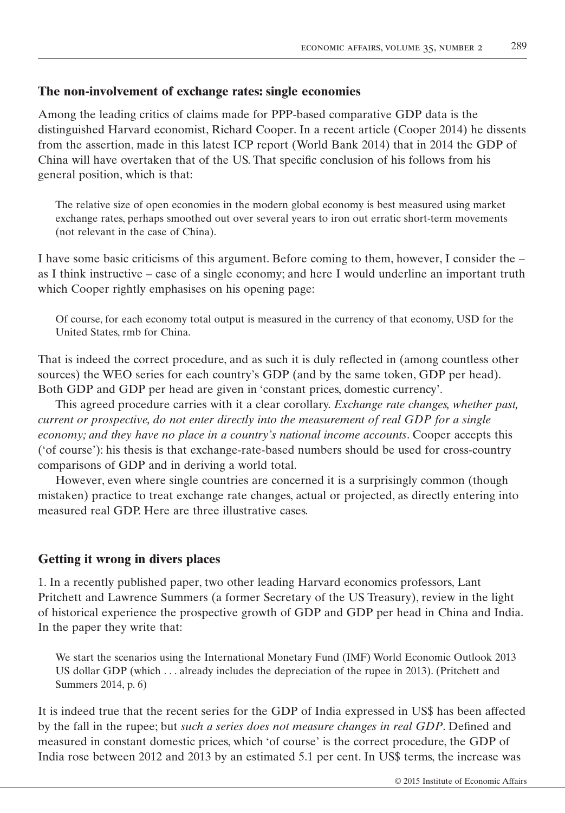# **The non-involvement of exchange rates: single economies**

Among the leading critics of claims made for PPP-based comparative GDP data is the distinguished Harvard economist, Richard Cooper. In a recent article (Cooper 2014) he dissents from the assertion, made in this latest ICP report (World Bank 2014) that in 2014 the GDP of China will have overtaken that of the US. That specific conclusion of his follows from his general position, which is that:

The relative size of open economies in the modern global economy is best measured using market exchange rates, perhaps smoothed out over several years to iron out erratic short-term movements (not relevant in the case of China).

I have some basic criticisms of this argument. Before coming to them, however, I consider the – as I think instructive – case of a single economy; and here I would underline an important truth which Cooper rightly emphasises on his opening page:

Of course, for each economy total output is measured in the currency of that economy, USD for the United States, rmb for China.

That is indeed the correct procedure, and as such it is duly reflected in (among countless other sources) the WEO series for each country's GDP (and by the same token, GDP per head). Both GDP and GDP per head are given in 'constant prices, domestic currency'.

This agreed procedure carries with it a clear corollary. *Exchange rate changes, whether past, current or prospective, do not enter directly into the measurement of real GDP for a single economy; and they have no place in a country's national income accounts*. Cooper accepts this ('of course'): his thesis is that exchange-rate-based numbers should be used for cross-country comparisons of GDP and in deriving a world total.

However, even where single countries are concerned it is a surprisingly common (though mistaken) practice to treat exchange rate changes, actual or projected, as directly entering into measured real GDP. Here are three illustrative cases.

# **Getting it wrong in divers places**

1. In a recently published paper, two other leading Harvard economics professors, Lant Pritchett and Lawrence Summers (a former Secretary of the US Treasury), review in the light of historical experience the prospective growth of GDP and GDP per head in China and India. In the paper they write that:

We start the scenarios using the International Monetary Fund (IMF) World Economic Outlook 2013 US dollar GDP (which . . . already includes the depreciation of the rupee in 2013). (Pritchett and Summers 2014, p. 6)

It is indeed true that the recent series for the GDP of India expressed in US\$ has been affected by the fall in the rupee; but *such a series does not measure changes in real GDP*. Defined and measured in constant domestic prices, which 'of course' is the correct procedure, the GDP of India rose between 2012 and 2013 by an estimated 5.1 per cent. In US\$ terms, the increase was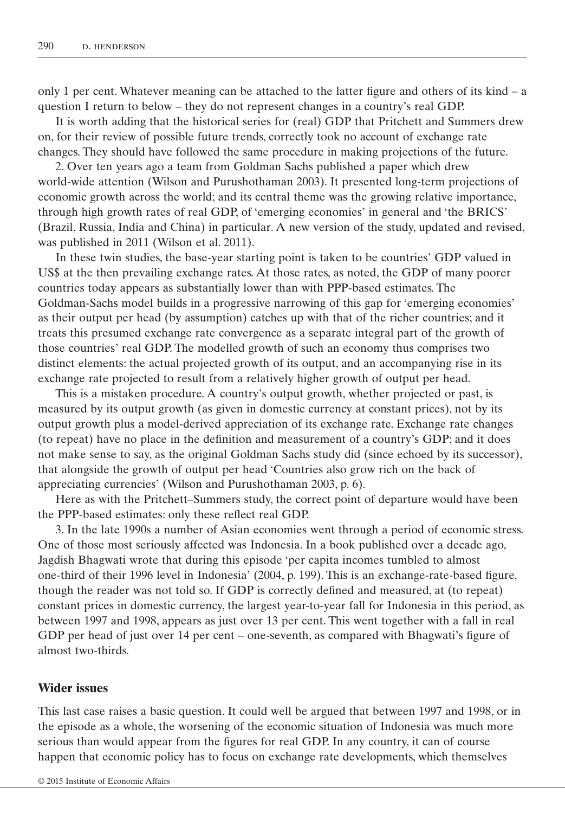only 1 per cent. Whatever meaning can be attached to the latter figure and others of its kind – a question I return to below – they do not represent changes in a country's real GDP.

It is worth adding that the historical series for (real) GDP that Pritchett and Summers drew on, for their review of possible future trends, correctly took no account of exchange rate changes. They should have followed the same procedure in making projections of the future.

2. Over ten years ago a team from Goldman Sachs published a paper which drew world-wide attention (Wilson and Purushothaman 2003). It presented long-term projections of economic growth across the world; and its central theme was the growing relative importance, through high growth rates of real GDP, of 'emerging economies' in general and 'the BRICS' (Brazil, Russia, India and China) in particular. A new version of the study, updated and revised, was published in 2011 (Wilson et al. 2011).

In these twin studies, the base-year starting point is taken to be countries' GDP valued in US\$ at the then prevailing exchange rates. At those rates, as noted, the GDP of many poorer countries today appears as substantially lower than with PPP-based estimates. The Goldman-Sachs model builds in a progressive narrowing of this gap for 'emerging economies' as their output per head (by assumption) catches up with that of the richer countries; and it treats this presumed exchange rate convergence as a separate integral part of the growth of those countries' real GDP. The modelled growth of such an economy thus comprises two distinct elements: the actual projected growth of its output, and an accompanying rise in its exchange rate projected to result from a relatively higher growth of output per head.

This is a mistaken procedure. A country's output growth, whether projected or past, is measured by its output growth (as given in domestic currency at constant prices), not by its output growth plus a model-derived appreciation of its exchange rate. Exchange rate changes (to repeat) have no place in the definition and measurement of a country's GDP; and it does not make sense to say, as the original Goldman Sachs study did (since echoed by its successor), that alongside the growth of output per head 'Countries also grow rich on the back of appreciating currencies' (Wilson and Purushothaman 2003, p. 6).

Here as with the Pritchett–Summers study, the correct point of departure would have been the PPP-based estimates: only these reflect real GDP.

3. In the late 1990s a number of Asian economies went through a period of economic stress. One of those most seriously affected was Indonesia. In a book published over a decade ago, Jagdish Bhagwati wrote that during this episode 'per capita incomes tumbled to almost one-third of their 1996 level in Indonesia' (2004, p. 199). This is an exchange-rate-based figure, though the reader was not told so. If GDP is correctly defined and measured, at (to repeat) constant prices in domestic currency, the largest year-to-year fall for Indonesia in this period, as between 1997 and 1998, appears as just over 13 per cent. This went together with a fall in real GDP per head of just over 14 per cent – one-seventh, as compared with Bhagwati's figure of almost two-thirds.

#### **Wider issues**

This last case raises a basic question. It could well be argued that between 1997 and 1998, or in the episode as a whole, the worsening of the economic situation of Indonesia was much more serious than would appear from the figures for real GDP. In any country, it can of course happen that economic policy has to focus on exchange rate developments, which themselves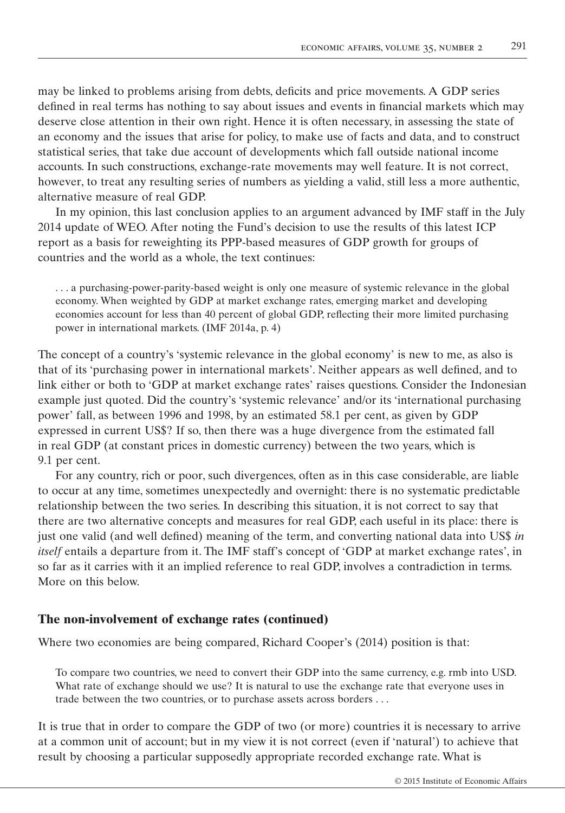may be linked to problems arising from debts, deficits and price movements. A GDP series defined in real terms has nothing to say about issues and events in financial markets which may deserve close attention in their own right. Hence it is often necessary, in assessing the state of an economy and the issues that arise for policy, to make use of facts and data, and to construct statistical series, that take due account of developments which fall outside national income accounts. In such constructions, exchange-rate movements may well feature. It is not correct, however, to treat any resulting series of numbers as yielding a valid, still less a more authentic, alternative measure of real GDP.

In my opinion, this last conclusion applies to an argument advanced by IMF staff in the July 2014 update of WEO. After noting the Fund's decision to use the results of this latest ICP report as a basis for reweighting its PPP-based measures of GDP growth for groups of countries and the world as a whole, the text continues:

. . . a purchasing-power-parity-based weight is only one measure of systemic relevance in the global economy. When weighted by GDP at market exchange rates, emerging market and developing economies account for less than 40 percent of global GDP, reflecting their more limited purchasing power in international markets. (IMF 2014a, p. 4)

The concept of a country's 'systemic relevance in the global economy' is new to me, as also is that of its 'purchasing power in international markets'. Neither appears as well defined, and to link either or both to 'GDP at market exchange rates' raises questions. Consider the Indonesian example just quoted. Did the country's 'systemic relevance' and/or its 'international purchasing power' fall, as between 1996 and 1998, by an estimated 58.1 per cent, as given by GDP expressed in current US\$? If so, then there was a huge divergence from the estimated fall in real GDP (at constant prices in domestic currency) between the two years, which is 9.1 per cent.

For any country, rich or poor, such divergences, often as in this case considerable, are liable to occur at any time, sometimes unexpectedly and overnight: there is no systematic predictable relationship between the two series. In describing this situation, it is not correct to say that there are two alternative concepts and measures for real GDP, each useful in its place: there is just one valid (and well defined) meaning of the term, and converting national data into US\$ *in itself* entails a departure from it. The IMF staff's concept of 'GDP at market exchange rates', in so far as it carries with it an implied reference to real GDP, involves a contradiction in terms. More on this below.

# **The non-involvement of exchange rates (continued)**

Where two economies are being compared, Richard Cooper's (2014) position is that:

To compare two countries, we need to convert their GDP into the same currency, e.g. rmb into USD. What rate of exchange should we use? It is natural to use the exchange rate that everyone uses in trade between the two countries, or to purchase assets across borders . . .

It is true that in order to compare the GDP of two (or more) countries it is necessary to arrive at a common unit of account; but in my view it is not correct (even if 'natural') to achieve that result by choosing a particular supposedly appropriate recorded exchange rate. What is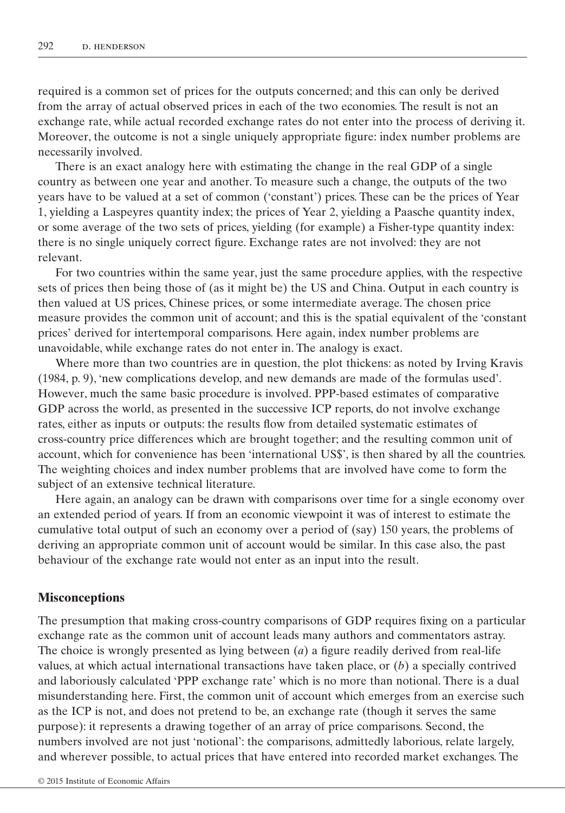required is a common set of prices for the outputs concerned; and this can only be derived from the array of actual observed prices in each of the two economies. The result is not an exchange rate, while actual recorded exchange rates do not enter into the process of deriving it. Moreover, the outcome is not a single uniquely appropriate figure: index number problems are necessarily involved.

There is an exact analogy here with estimating the change in the real GDP of a single country as between one year and another. To measure such a change, the outputs of the two years have to be valued at a set of common ('constant') prices. These can be the prices of Year 1, yielding a Laspeyres quantity index; the prices of Year 2, yielding a Paasche quantity index, or some average of the two sets of prices, yielding (for example) a Fisher-type quantity index: there is no single uniquely correct figure. Exchange rates are not involved: they are not relevant.

For two countries within the same year, just the same procedure applies, with the respective sets of prices then being those of (as it might be) the US and China. Output in each country is then valued at US prices, Chinese prices, or some intermediate average. The chosen price measure provides the common unit of account; and this is the spatial equivalent of the 'constant prices' derived for intertemporal comparisons. Here again, index number problems are unavoidable, while exchange rates do not enter in. The analogy is exact.

Where more than two countries are in question, the plot thickens: as noted by Irving Kravis (1984, p. 9), 'new complications develop, and new demands are made of the formulas used'. However, much the same basic procedure is involved. PPP-based estimates of comparative GDP across the world, as presented in the successive ICP reports, do not involve exchange rates, either as inputs or outputs: the results flow from detailed systematic estimates of cross-country price differences which are brought together; and the resulting common unit of account, which for convenience has been 'international US\$', is then shared by all the countries. The weighting choices and index number problems that are involved have come to form the subject of an extensive technical literature.

Here again, an analogy can be drawn with comparisons over time for a single economy over an extended period of years. If from an economic viewpoint it was of interest to estimate the cumulative total output of such an economy over a period of (say) 150 years, the problems of deriving an appropriate common unit of account would be similar. In this case also, the past behaviour of the exchange rate would not enter as an input into the result.

## **Misconceptions**

The presumption that making cross-country comparisons of GDP requires fixing on a particular exchange rate as the common unit of account leads many authors and commentators astray. The choice is wrongly presented as lying between (*a*) a figure readily derived from real-life values, at which actual international transactions have taken place, or (*b*) a specially contrived and laboriously calculated 'PPP exchange rate' which is no more than notional. There is a dual misunderstanding here. First, the common unit of account which emerges from an exercise such as the ICP is not, and does not pretend to be, an exchange rate (though it serves the same purpose): it represents a drawing together of an array of price comparisons. Second, the numbers involved are not just 'notional': the comparisons, admittedly laborious, relate largely, and wherever possible, to actual prices that have entered into recorded market exchanges. The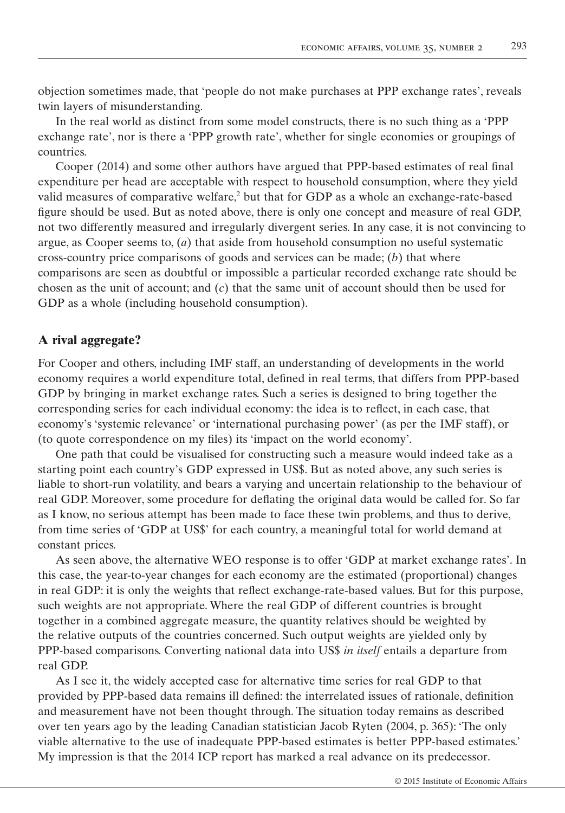objection sometimes made, that 'people do not make purchases at PPP exchange rates', reveals twin layers of misunderstanding.

In the real world as distinct from some model constructs, there is no such thing as a 'PPP exchange rate', nor is there a 'PPP growth rate', whether for single economies or groupings of countries.

Cooper (2014) and some other authors have argued that PPP-based estimates of real final expenditure per head are acceptable with respect to household consumption, where they yield valid measures of comparative welfare,<sup>2</sup> but that for GDP as a whole an exchange-rate-based figure should be used. But as noted above, there is only one concept and measure of real GDP, not two differently measured and irregularly divergent series. In any case, it is not convincing to argue, as Cooper seems to, (*a*) that aside from household consumption no useful systematic cross-country price comparisons of goods and services can be made; (*b*) that where comparisons are seen as doubtful or impossible a particular recorded exchange rate should be chosen as the unit of account; and (*c*) that the same unit of account should then be used for GDP as a whole (including household consumption).

## **A rival aggregate?**

For Cooper and others, including IMF staff, an understanding of developments in the world economy requires a world expenditure total, defined in real terms, that differs from PPP-based GDP by bringing in market exchange rates. Such a series is designed to bring together the corresponding series for each individual economy: the idea is to reflect, in each case, that economy's 'systemic relevance' or 'international purchasing power' (as per the IMF staff), or (to quote correspondence on my files) its 'impact on the world economy'.

One path that could be visualised for constructing such a measure would indeed take as a starting point each country's GDP expressed in US\$. But as noted above, any such series is liable to short-run volatility, and bears a varying and uncertain relationship to the behaviour of real GDP. Moreover, some procedure for deflating the original data would be called for. So far as I know, no serious attempt has been made to face these twin problems, and thus to derive, from time series of 'GDP at US\$' for each country, a meaningful total for world demand at constant prices.

As seen above, the alternative WEO response is to offer 'GDP at market exchange rates'. In this case, the year-to-year changes for each economy are the estimated (proportional) changes in real GDP: it is only the weights that reflect exchange-rate-based values. But for this purpose, such weights are not appropriate. Where the real GDP of different countries is brought together in a combined aggregate measure, the quantity relatives should be weighted by the relative outputs of the countries concerned. Such output weights are yielded only by PPP-based comparisons. Converting national data into US\$ *in itself* entails a departure from real GDP.

As I see it, the widely accepted case for alternative time series for real GDP to that provided by PPP-based data remains ill defined: the interrelated issues of rationale, definition and measurement have not been thought through. The situation today remains as described over ten years ago by the leading Canadian statistician Jacob Ryten (2004, p. 365): 'The only viable alternative to the use of inadequate PPP-based estimates is better PPP-based estimates.' My impression is that the 2014 ICP report has marked a real advance on its predecessor.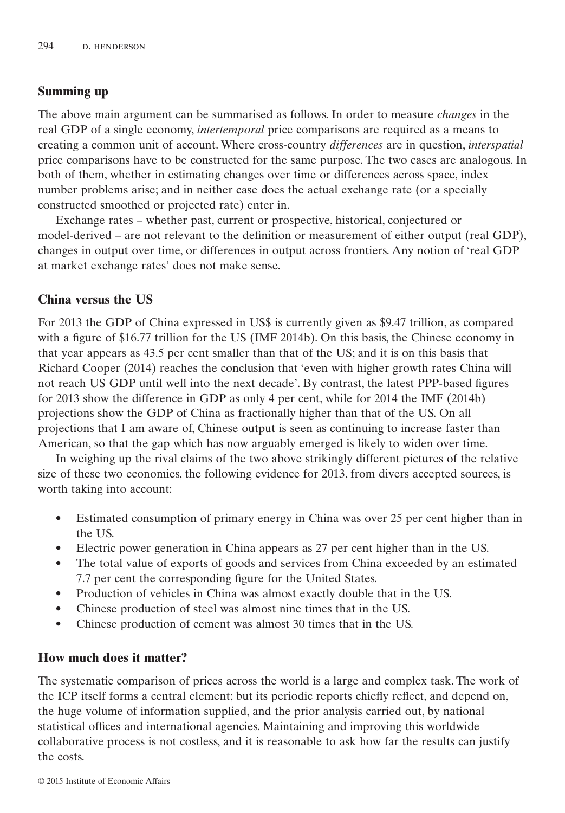#### **Summing up**

The above main argument can be summarised as follows. In order to measure *changes* in the real GDP of a single economy, *intertemporal* price comparisons are required as a means to creating a common unit of account. Where cross-country *differences* are in question, *interspatial* price comparisons have to be constructed for the same purpose. The two cases are analogous. In both of them, whether in estimating changes over time or differences across space, index number problems arise; and in neither case does the actual exchange rate (or a specially constructed smoothed or projected rate) enter in.

Exchange rates – whether past, current or prospective, historical, conjectured or model-derived – are not relevant to the definition or measurement of either output (real GDP), changes in output over time, or differences in output across frontiers. Any notion of 'real GDP at market exchange rates' does not make sense.

### **China versus the US**

For 2013 the GDP of China expressed in US\$ is currently given as \$9.47 trillion, as compared with a figure of \$16.77 trillion for the US (IMF 2014b). On this basis, the Chinese economy in that year appears as 43.5 per cent smaller than that of the US; and it is on this basis that Richard Cooper (2014) reaches the conclusion that 'even with higher growth rates China will not reach US GDP until well into the next decade'. By contrast, the latest PPP-based figures for 2013 show the difference in GDP as only 4 per cent, while for 2014 the IMF (2014b) projections show the GDP of China as fractionally higher than that of the US. On all projections that I am aware of, Chinese output is seen as continuing to increase faster than American, so that the gap which has now arguably emerged is likely to widen over time.

In weighing up the rival claims of the two above strikingly different pictures of the relative size of these two economies, the following evidence for 2013, from divers accepted sources, is worth taking into account:

- Estimated consumption of primary energy in China was over 25 per cent higher than in the US.
- Electric power generation in China appears as 27 per cent higher than in the US.
- The total value of exports of goods and services from China exceeded by an estimated 7.7 per cent the corresponding figure for the United States.
- Production of vehicles in China was almost exactly double that in the US.
- Chinese production of steel was almost nine times that in the US.
- Chinese production of cement was almost 30 times that in the US.

## **How much does it matter?**

The systematic comparison of prices across the world is a large and complex task. The work of the ICP itself forms a central element; but its periodic reports chiefly reflect, and depend on, the huge volume of information supplied, and the prior analysis carried out, by national statistical offices and international agencies. Maintaining and improving this worldwide collaborative process is not costless, and it is reasonable to ask how far the results can justify the costs.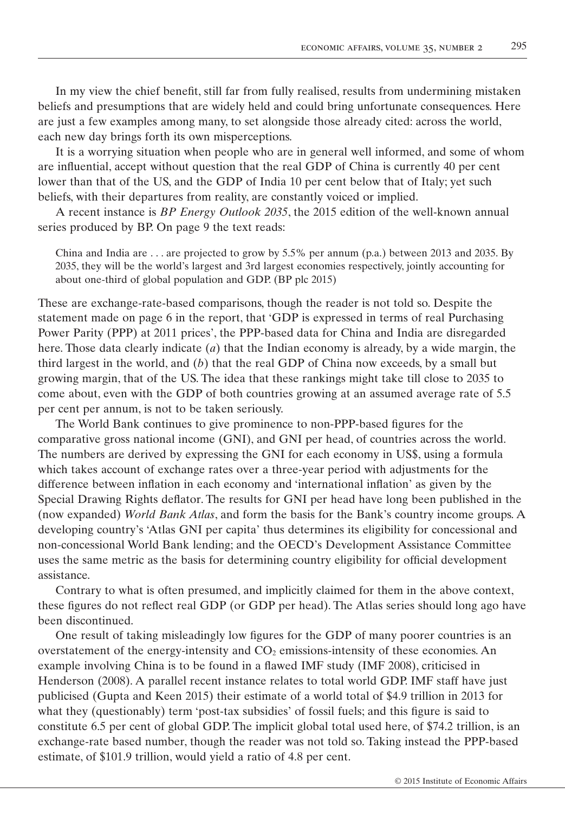In my view the chief benefit, still far from fully realised, results from undermining mistaken beliefs and presumptions that are widely held and could bring unfortunate consequences. Here are just a few examples among many, to set alongside those already cited: across the world, each new day brings forth its own misperceptions.

It is a worrying situation when people who are in general well informed, and some of whom are influential, accept without question that the real GDP of China is currently 40 per cent lower than that of the US, and the GDP of India 10 per cent below that of Italy; yet such beliefs, with their departures from reality, are constantly voiced or implied.

A recent instance is *BP Energy Outlook 2035*, the 2015 edition of the well-known annual series produced by BP. On page 9 the text reads:

China and India are . . . are projected to grow by 5.5% per annum (p.a.) between 2013 and 2035. By 2035, they will be the world's largest and 3rd largest economies respectively, jointly accounting for about one-third of global population and GDP. (BP plc 2015)

These are exchange-rate-based comparisons, though the reader is not told so. Despite the statement made on page 6 in the report, that 'GDP is expressed in terms of real Purchasing Power Parity (PPP) at 2011 prices', the PPP-based data for China and India are disregarded here. Those data clearly indicate (*a*) that the Indian economy is already, by a wide margin, the third largest in the world, and (*b*) that the real GDP of China now exceeds, by a small but growing margin, that of the US. The idea that these rankings might take till close to 2035 to come about, even with the GDP of both countries growing at an assumed average rate of 5.5 per cent per annum, is not to be taken seriously.

The World Bank continues to give prominence to non-PPP-based figures for the comparative gross national income (GNI), and GNI per head, of countries across the world. The numbers are derived by expressing the GNI for each economy in US\$, using a formula which takes account of exchange rates over a three-year period with adjustments for the difference between inflation in each economy and 'international inflation' as given by the Special Drawing Rights deflator. The results for GNI per head have long been published in the (now expanded) *World Bank Atlas*, and form the basis for the Bank's country income groups. A developing country's 'Atlas GNI per capita' thus determines its eligibility for concessional and non-concessional World Bank lending; and the OECD's Development Assistance Committee uses the same metric as the basis for determining country eligibility for official development assistance.

Contrary to what is often presumed, and implicitly claimed for them in the above context, these figures do not reflect real GDP (or GDP per head). The Atlas series should long ago have been discontinued.

One result of taking misleadingly low figures for the GDP of many poorer countries is an overstatement of the energy-intensity and  $CO<sub>2</sub>$  emissions-intensity of these economies. An example involving China is to be found in a flawed IMF study (IMF 2008), criticised in Henderson (2008). A parallel recent instance relates to total world GDP. IMF staff have just publicised (Gupta and Keen 2015) their estimate of a world total of \$4.9 trillion in 2013 for what they (questionably) term 'post-tax subsidies' of fossil fuels; and this figure is said to constitute 6.5 per cent of global GDP. The implicit global total used here, of \$74.2 trillion, is an exchange-rate based number, though the reader was not told so. Taking instead the PPP-based estimate, of \$101.9 trillion, would yield a ratio of 4.8 per cent.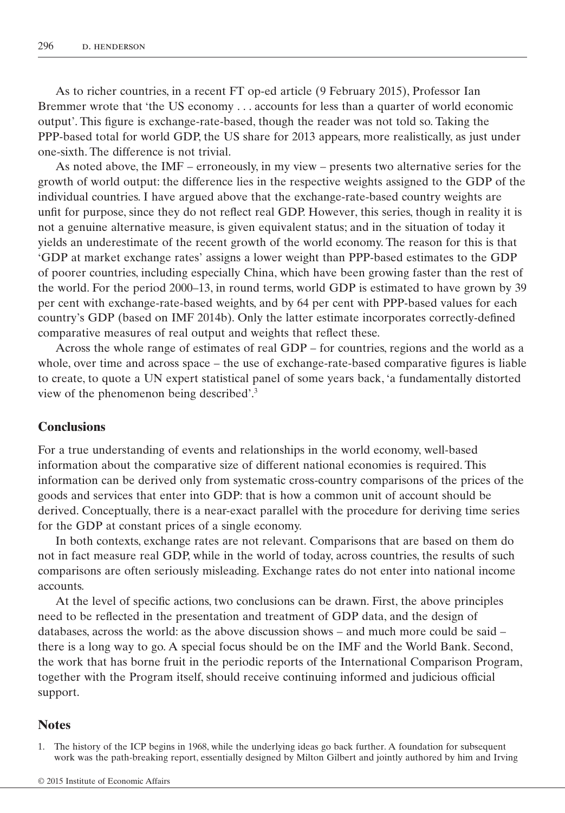As to richer countries, in a recent FT op-ed article (9 February 2015), Professor Ian Bremmer wrote that 'the US economy . . . accounts for less than a quarter of world economic output'. This figure is exchange-rate-based, though the reader was not told so. Taking the PPP-based total for world GDP, the US share for 2013 appears, more realistically, as just under one-sixth. The difference is not trivial.

As noted above, the IMF – erroneously, in my view – presents two alternative series for the growth of world output: the difference lies in the respective weights assigned to the GDP of the individual countries. I have argued above that the exchange-rate-based country weights are unfit for purpose, since they do not reflect real GDP. However, this series, though in reality it is not a genuine alternative measure, is given equivalent status; and in the situation of today it yields an underestimate of the recent growth of the world economy. The reason for this is that 'GDP at market exchange rates' assigns a lower weight than PPP-based estimates to the GDP of poorer countries, including especially China, which have been growing faster than the rest of the world. For the period 2000–13, in round terms, world GDP is estimated to have grown by 39 per cent with exchange-rate-based weights, and by 64 per cent with PPP-based values for each country's GDP (based on IMF 2014b). Only the latter estimate incorporates correctly-defined comparative measures of real output and weights that reflect these.

Across the whole range of estimates of real GDP – for countries, regions and the world as a whole, over time and across space – the use of exchange-rate-based comparative figures is liable to create, to quote a UN expert statistical panel of some years back, 'a fundamentally distorted view of the phenomenon being described'.3

#### **Conclusions**

For a true understanding of events and relationships in the world economy, well-based information about the comparative size of different national economies is required. This information can be derived only from systematic cross-country comparisons of the prices of the goods and services that enter into GDP: that is how a common unit of account should be derived. Conceptually, there is a near-exact parallel with the procedure for deriving time series for the GDP at constant prices of a single economy.

In both contexts, exchange rates are not relevant. Comparisons that are based on them do not in fact measure real GDP, while in the world of today, across countries, the results of such comparisons are often seriously misleading. Exchange rates do not enter into national income accounts.

At the level of specific actions, two conclusions can be drawn. First, the above principles need to be reflected in the presentation and treatment of GDP data, and the design of databases, across the world: as the above discussion shows – and much more could be said – there is a long way to go. A special focus should be on the IMF and the World Bank. Second, the work that has borne fruit in the periodic reports of the International Comparison Program, together with the Program itself, should receive continuing informed and judicious official support.

## **Notes**

<sup>1.</sup> The history of the ICP begins in 1968, while the underlying ideas go back further. A foundation for subsequent work was the path-breaking report, essentially designed by Milton Gilbert and jointly authored by him and Irving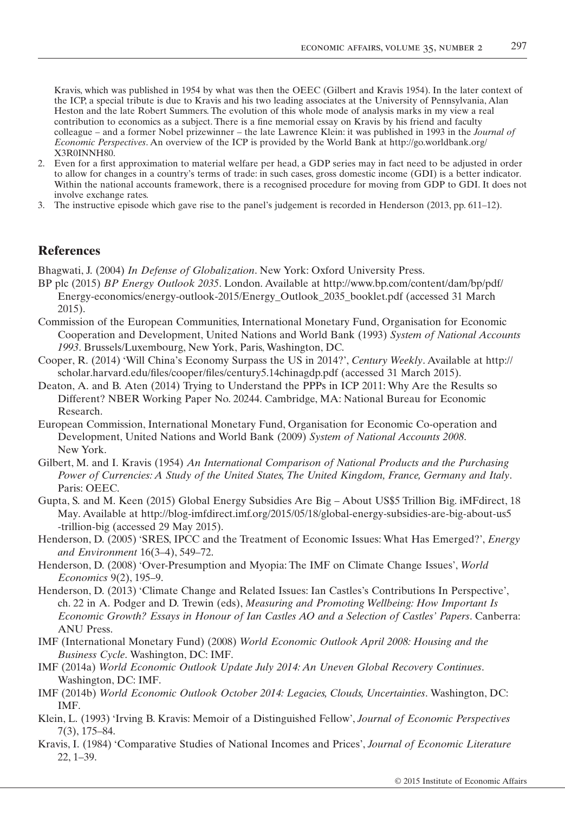Kravis, which was published in 1954 by what was then the OEEC (Gilbert and Kravis 1954). In the later context of the ICP, a special tribute is due to Kravis and his two leading associates at the University of Pennsylvania, Alan Heston and the late Robert Summers. The evolution of this whole mode of analysis marks in my view a real contribution to economics as a subject. There is a fine memorial essay on Kravis by his friend and faculty colleague – and a former Nobel prizewinner – the late Lawrence Klein: it was published in 1993 in the *Journal of Economic Perspectives*. An overview of the ICP is provided by the World Bank at http://go.worldbank.org/ X3R0INNH80.

- 2. Even for a first approximation to material welfare per head, a GDP series may in fact need to be adjusted in order to allow for changes in a country's terms of trade: in such cases, gross domestic income (GDI) is a better indicator. Within the national accounts framework, there is a recognised procedure for moving from GDP to GDI. It does not involve exchange rates.
- 3. The instructive episode which gave rise to the panel's judgement is recorded in Henderson (2013, pp. 611–12).

### **References**

Bhagwati, J. (2004) *In Defense of Globalization*. New York: Oxford University Press.

- BP plc (2015) *BP Energy Outlook 2035*. London. Available at http://www.bp.com/content/dam/bp/pdf/ Energy-economics/energy-outlook-2015/Energy\_Outlook\_2035\_booklet.pdf (accessed 31 March 2015).
- Commission of the European Communities, International Monetary Fund, Organisation for Economic Cooperation and Development, United Nations and World Bank (1993) *System of National Accounts 1993*. Brussels/Luxembourg, New York, Paris, Washington, DC.
- Cooper, R. (2014) 'Will China's Economy Surpass the US in 2014?', *Century Weekly*. Available at http:// scholar.harvard.edu/files/cooper/files/century5.14chinagdp.pdf (accessed 31 March 2015).
- Deaton, A. and B. Aten (2014) Trying to Understand the PPPs in ICP 2011: Why Are the Results so Different? NBER Working Paper No. 20244. Cambridge, MA: National Bureau for Economic Research.
- European Commission, International Monetary Fund, Organisation for Economic Co-operation and Development, United Nations and World Bank (2009) *System of National Accounts 2008*. New York.
- Gilbert, M. and I. Kravis (1954) *An International Comparison of National Products and the Purchasing Power of Currencies: A Study of the United States, The United Kingdom, France, Germany and Italy*. Paris: OEEC.
- Gupta, S. and M. Keen (2015) Global Energy Subsidies Are Big About US\$5 Trillion Big. iMFdirect, 18 May. Available at http://blog-imfdirect.imf.org/2015/05/18/global-energy-subsidies-are-big-about-us5 -trillion-big (accessed 29 May 2015).
- Henderson, D. (2005) 'SRES, IPCC and the Treatment of Economic Issues: What Has Emerged?', *Energy and Environment* 16(3–4), 549–72.
- Henderson, D. (2008) 'Over-Presumption and Myopia: The IMF on Climate Change Issues', *World Economics* 9(2), 195–9.
- Henderson, D. (2013) 'Climate Change and Related Issues: Ian Castles's Contributions In Perspective', ch. 22 in A. Podger and D. Trewin (eds), *Measuring and Promoting Wellbeing: How Important Is Economic Growth? Essays in Honour of Ian Castles AO and a Selection of Castles' Papers*. Canberra: ANU Press.
- IMF (International Monetary Fund) (2008) *World Economic Outlook April 2008: Housing and the Business Cycle*. Washington, DC: IMF.
- IMF (2014a) *World Economic Outlook Update July 2014: An Uneven Global Recovery Continues*. Washington, DC: IMF.
- IMF (2014b) *World Economic Outlook October 2014: Legacies, Clouds, Uncertainties*. Washington, DC: IMF.
- Klein, L. (1993) 'Irving B. Kravis: Memoir of a Distinguished Fellow', *Journal of Economic Perspectives* 7(3), 175–84.
- Kravis, I. (1984) 'Comparative Studies of National Incomes and Prices', *Journal of Economic Literature* 22, 1–39.